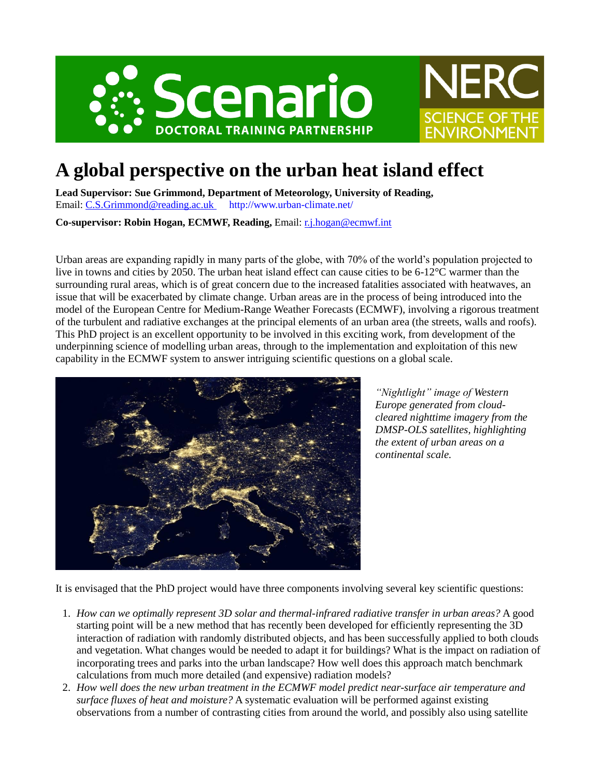



## **A global perspective on the urban heat island effect**

**Lead Supervisor: Sue Grimmond, Department of Meteorology, University of Reading,** Email: [C.S.Grimmond@reading.ac.uk](mailto:C.S.Grimmond@reading.ac.uk) http://www.urban-climate.net/

**Co-supervisor: Robin Hogan, ECMWF, Reading,** Email: [r.j.hogan@ecmwf.int](mailto:r.j.hogan@ecmwf.int)

Urban areas are expanding rapidly in many parts of the globe, with 70% of the world's population projected to live in towns and cities by 2050. The urban heat island effect can cause cities to be 6-12°C warmer than the surrounding rural areas, which is of great concern due to the increased fatalities associated with heatwaves, an issue that will be exacerbated by climate change. Urban areas are in the process of being introduced into the model of the European Centre for Medium-Range Weather Forecasts (ECMWF), involving a rigorous treatment of the turbulent and radiative exchanges at the principal elements of an urban area (the streets, walls and roofs). This PhD project is an excellent opportunity to be involved in this exciting work, from development of the underpinning science of modelling urban areas, through to the implementation and exploitation of this new capability in the ECMWF system to answer intriguing scientific questions on a global scale.



*"Nightlight" image of Western Europe generated from cloudcleared nighttime imagery from the DMSP-OLS satellites, highlighting the extent of urban areas on a continental scale.*

It is envisaged that the PhD project would have three components involving several key scientific questions:

- 1. *How can we optimally represent 3D solar and thermal-infrared radiative transfer in urban areas?* A good starting point will be a new method that has recently been developed for efficiently representing the 3D interaction of radiation with randomly distributed objects, and has been successfully applied to both clouds and vegetation. What changes would be needed to adapt it for buildings? What is the impact on radiation of incorporating trees and parks into the urban landscape? How well does this approach match benchmark calculations from much more detailed (and expensive) radiation models?
- 2. *How well does the new urban treatment in the ECMWF model predict near-surface air temperature and surface fluxes of heat and moisture?* A systematic evaluation will be performed against existing observations from a number of contrasting cities from around the world, and possibly also using satellite